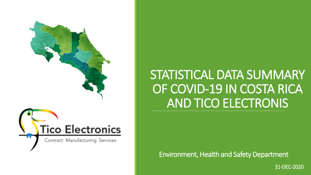

# STATISTICAL DATA SUMMARY OF COVID-19 IN COSTA RICA AND TICO ELECTRONIS

Environment, Health and Safety Department

31-DEC-2020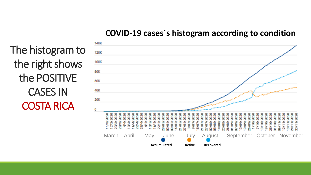#### **COVID-19 cases´s histogram according to condition**

The histogram to the right shows the POSITIVE CASES IN COSTA RICA

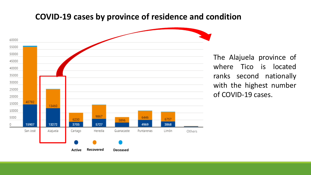#### **COVID-19 cases by province of residence and condition**



The Alajuela province of where Tico is located ranks second nationally with the highest number of COVID-19 cases.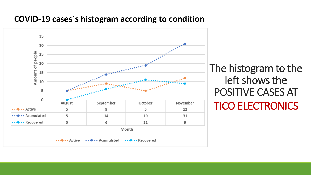### **COVID-19 cases´s histogram according to condition**

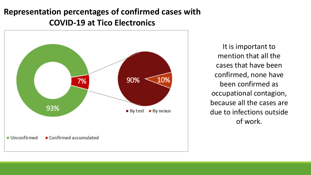## **Representation percentages of confirmed cases with COVID-19 at Tico Electronics**



It is important to mention that all the cases that have been confirmed, none have been confirmed as occupational contagion, because all the cases are due to infections outside of work.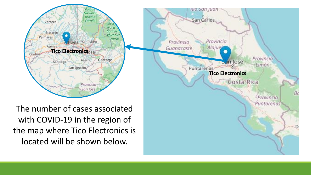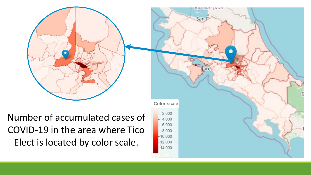

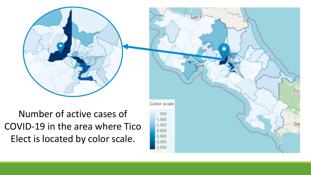Number of active cases of COVID-19 in the area where Tico Elect is located by color scale.

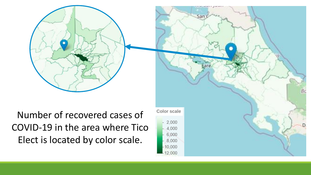

4.000 6,000 8,000 10.000 12.000

Number of recovered cases of COVID-19 in the area where Tico Elect is located by color scale.